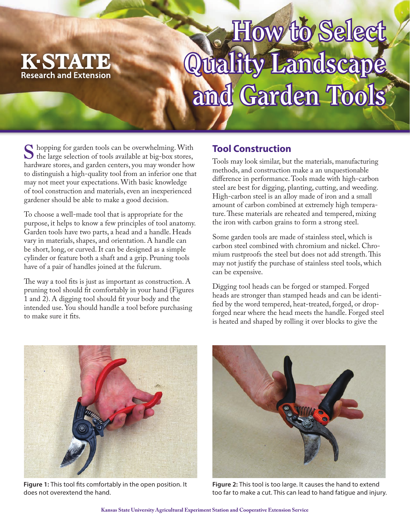

## **How to Select Quality Landscape** and Garden Tools<sup>\*</sup>

Shopping for garden tools can be overwhelming. With the large selection of tools available at big-box stores, hardware stores, and garden centers, you may wonder how to distinguish a high-quality tool from an inferior one that may not meet your expectations. With basic knowledge of tool construction and materials, even an inexperienced gardener should be able to make a good decision.

To choose a well-made tool that is appropriate for the purpose, it helps to know a few principles of tool anatomy. Garden tools have two parts, a head and a handle. Heads vary in materials, shapes, and orientation. A handle can be short, long, or curved. It can be designed as a simple cylinder or feature both a shaft and a grip. Pruning tools have of a pair of handles joined at the fulcrum.

The way a tool fits is just as important as construction. A pruning tool should fit comfortably in your hand (Figures 1 and 2). A digging tool should fit your body and the intended use. You should handle a tool before purchasing to make sure it fits.

## **Tool Construction**

Tools may look similar, but the materials, manufacturing methods, and construction make a an unquestionable difference in performance. Tools made with high-carbon steel are best for digging, planting, cutting, and weeding. High-carbon steel is an alloy made of iron and a small amount of carbon combined at extremely high temperature. These materials are reheated and tempered, mixing the iron with carbon grains to form a strong steel.

Some garden tools are made of stainless steel, which is carbon steel combined with chromium and nickel. Chromium rustproofs the steel but does not add strength. This may not justify the purchase of stainless steel tools, which can be expensive.

Digging tool heads can be forged or stamped. Forged heads are stronger than stamped heads and can be identified by the word tempered, heat-treated, forged, or dropforged near where the head meets the handle. Forged steel is heated and shaped by rolling it over blocks to give the



**Figure 1:** This tool fits comfortably in the open position. It does not overextend the hand.



**Figure 2:** This tool is too large. It causes the hand to extend too far to make a cut. This can lead to hand fatigue and injury.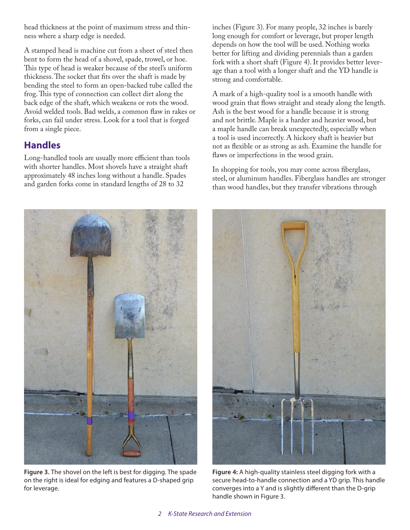head thickness at the point of maximum stress and thinness where a sharp edge is needed.

A stamped head is machine cut from a sheet of steel then bent to form the head of a shovel, spade, trowel, or hoe. This type of head is weaker because of the steel's uniform thickness. The socket that fits over the shaft is made by bending the steel to form an open-backed tube called the frog. This type of connection can collect dirt along the back edge of the shaft, which weakens or rots the wood. Avoid welded tools. Bad welds, a common flaw in rakes or forks, can fail under stress. Look for a tool that is forged from a single piece.

## **Handles**

for leverage.

Long-handled tools are usually more efficient than tools with shorter handles. Most shovels have a straight shaft approximately 48 inches long without a handle. Spades and garden forks come in standard lengths of 28 to 32

inches (Figure 3). For many people, 32 inches is barely long enough for comfort or leverage, but proper length depends on how the tool will be used. Nothing works better for lifting and dividing perennials than a garden fork with a short shaft (Figure 4). It provides better leverage than a tool with a longer shaft and the YD handle is strong and comfortable.

A mark of a high-quality tool is a smooth handle with wood grain that flows straight and steady along the length. Ash is the best wood for a handle because it is strong and not brittle. Maple is a harder and heavier wood, but a maple handle can break unexpectedly, especially when a tool is used incorrectly. A hickory shaft is heavier but not as flexible or as strong as ash. Examine the handle for flaws or imperfections in the wood grain.

In shopping for tools, you may come across fiberglass, steel, or aluminum handles. Fiberglass handles are stronger than wood handles, but they transfer vibrations through

**Figure 4:** A high-quality stainless steel digging fork with a secure head-to-handle connection and a YD grip. This handle converges into a Y and is slightly different than the D-grip handle shown in Figure 3.

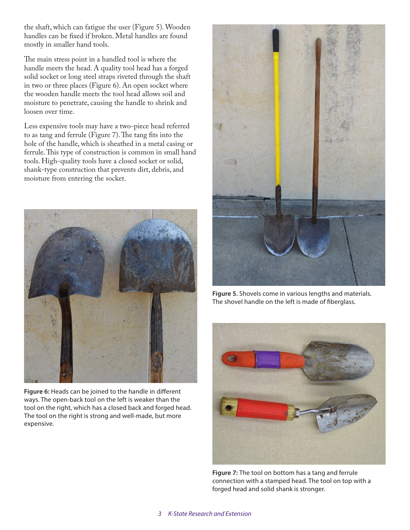the shaft, which can fatigue the user (Figure 5). Wooden handles can be fixed if broken. Metal handles are found mostly in smaller hand tools.

The main stress point in a handled tool is where the handle meets the head. A quality tool head has a forged solid socket or long steel straps riveted through the shaft in two or three places (Figure 6). An open socket where the wooden handle meets the tool head allows soil and moisture to penetrate, causing the handle to shrink and loosen over time.

Less expensive tools may have a two-piece head referred to as tang and ferrule (Figure 7). The tang fits into the hole of the handle, which is sheathed in a metal casing or ferrule. This type of construction is common in small hand tools. High-quality tools have a closed socket or solid, shank-type construction that prevents dirt, debris, and moisture from entering the socket.



**Figure 6:** Heads can be joined to the handle in different ways. The open-back tool on the left is weaker than the tool on the right, which has a closed back and forged head. The tool on the right is strong and well-made, but more expensive.



**Figure 5.** Shovels come in various lengths and materials. The shovel handle on the left is made of fiberglass.



**Figure 7:** The tool on bottom has a tang and ferrule connection with a stamped head. The tool on top with a forged head and solid shank is stronger.